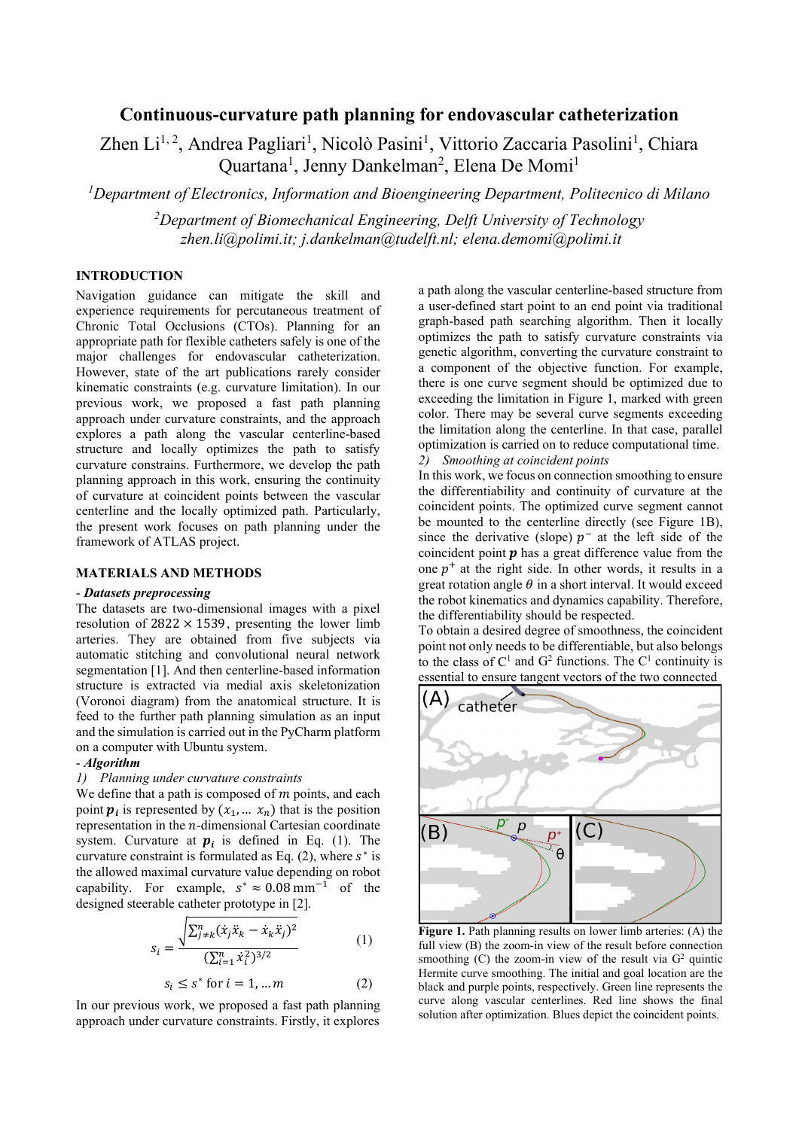# **Continuous-curvature path planning for endovascular catheterization**

Zhen Li<sup>1,2</sup>, Andrea Pagliari<sup>1</sup>, Nicolò Pasini<sup>1</sup>, Vittorio Zaccaria Pasolini<sup>1</sup>, Chiara Quartana<sup>1</sup>, Jenny Dankelman<sup>2</sup>, Elena De Momi<sup>1</sup>

*1 Department of Electronics, Information and Bioengineering Department, Politecnico di Milano*

*2 Department of Biomechanical Engineering, Delft University of Technology zhen.li@polimi.it; j.dankelman@tudelft.nl; elena.demomi@polimi.it*

## **INTRODUCTION**

Navigation guidance can mitigate the skill and experience requirements for percutaneous treatment of Chronic Total Occlusions (CTOs). Planning for an appropriate path for flexible catheters safely is one of the major challenges for endovascular catheterization. However, state of the art publications rarely consider kinematic constraints (e.g. curvature limitation). In our previous work, we proposed a fast path planning approach under curvature constraints, and the approach explores a path along the vascular centerline-based structure and locally optimizes the path to satisfy curvature constrains. Furthermore, we develop the path planning approach in this work, ensuring the continuity of curvature at coincident points between the vascular centerline and the locally optimized path. Particularly, the present work focuses on path planning under the framework of ATLAS project.

## **MATERIALS AND METHODS**

#### - *Datasets preprocessing*

The datasets are two-dimensional images with a pixel resolution of  $2822 \times 1539$ , presenting the lower limb arteries. They are obtained from five subjects via automatic stitching and convolutional neural network segmentation [1]. And then centerline-based information structure is extracted via medial axis skeletonization (Voronoi diagram) from the anatomical structure. It is feed to the further path planning simulation as an input and the simulation is carried out in the PyCharm platform on a computer with Ubuntu system.

#### - *Algorithm*

#### *1) Planning under curvature constraints*

We define that a path is composed of  $m$  points, and each point  $p_i$  is represented by  $(x_1, \ldots, x_n)$  that is the position representation in the  $n$ -dimensional Cartesian coordinate system. Curvature at  $p_i$  is defined in Eq. (1). The curvature constraint is formulated as Eq. (2), where  $s^*$  is the allowed maximal curvature value depending on robot capability. For example,  $s^* \approx 0.08$  mm<sup>-1</sup> of the designed steerable catheter prototype in [2].

$$
s_i = \frac{\sqrt{\sum_{j\neq k}^n (\dot{x}_j \ddot{x}_k - \dot{x}_k \ddot{x}_j)^2}}{(\sum_{i=1}^n \dot{x}_i^2)^{3/2}} \tag{1}
$$

$$
s_i \le s^* \text{ for } i = 1, \dots m \tag{2}
$$

In our previous work, we proposed a fast path planning approach under curvature constraints. Firstly, it explores

a path along the vascular centerline-based structure from a user-defined start point to an end point via traditional graph-based path searching algorithm. Then it locally optimizes the path to satisfy curvature constraints via genetic algorithm, converting the curvature constraint to a component of the objective function. For example, there is one curve segment should be optimized due to exceeding the limitation in Figure 1, marked with green color. There may be several curve segments exceeding the limitation along the centerline. In that case, parallel optimization is carried on to reduce computational time. *2) Smoothing at coincident points* 

In this work, we focus on connection smoothing to ensure the differentiability and continuity of curvature at the coincident points. The optimized curve segment cannot be mounted to the centerline directly (see Figure 1B), since the derivative (slope)  $p^-$  at the left side of the coincident point  $\boldsymbol{p}$  has a great difference value from the one  $p^+$  at the right side. In other words, it results in a great rotation angle  $\theta$  in a short interval. It would exceed the robot kinematics and dynamics capability. Therefore, the differentiability should be respected.

To obtain a desired degree of smoothness, the coincident point not only needs to be differentiable, but also belongs to the class of  $C<sup>1</sup>$  and  $G<sup>2</sup>$  functions. The  $C<sup>1</sup>$  continuity is essential to ensure tangent vectors of the two connected



**Figure 1.** Path planning results on lower limb arteries: (A) the full view (B) the zoom-in view of the result before connection smoothing  $(C)$  the zoom-in view of the result via  $G<sup>2</sup>$  quintic Hermite curve smoothing. The initial and goal location are the black and purple points, respectively. Green line represents the curve along vascular centerlines. Red line shows the final solution after optimization. Blues depict the coincident points.